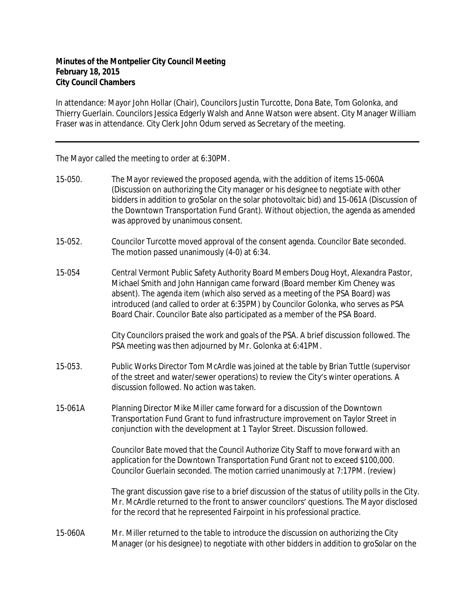## **Minutes of the Montpelier City Council Meeting February 18, 2015 City Council Chambers**

In attendance: Mayor John Hollar (Chair), Councilors Justin Turcotte, Dona Bate, Tom Golonka, and Thierry Guerlain. Councilors Jessica Edgerly Walsh and Anne Watson were absent. City Manager William Fraser was in attendance. City Clerk John Odum served as Secretary of the meeting.

The Mayor called the meeting to order at 6:30PM.

- 15-050. The Mayor reviewed the proposed agenda, with the addition of items 15-060A (Discussion on authorizing the City manager or his designee to negotiate with other bidders in addition to groSolar on the solar photovoltaic bid) and 15-061A (Discussion of the Downtown Transportation Fund Grant). Without objection, the agenda as amended was approved by unanimous consent.
- 15-052. Councilor Turcotte moved approval of the consent agenda. Councilor Bate seconded. The motion passed unanimously (4-0) at 6:34.
- 15-054 Central Vermont Public Safety Authority Board Members Doug Hoyt, Alexandra Pastor, Michael Smith and John Hannigan came forward (Board member Kim Cheney was absent). The agenda item (which also served as a meeting of the PSA Board) was introduced (and called to order at 6:35PM) by Councilor Golonka, who serves as PSA Board Chair. Councilor Bate also participated as a member of the PSA Board.

City Councilors praised the work and goals of the PSA. A brief discussion followed. The PSA meeting was then adjourned by Mr. Golonka at 6:41PM.

- 15-053. Public Works Director Tom McArdle was joined at the table by Brian Tuttle (supervisor of the street and water/sewer operations) to review the City's winter operations. A discussion followed. No action was taken.
- 15-061A Planning Director Mike Miller came forward for a discussion of the Downtown Transportation Fund Grant to fund infrastructure improvement on Taylor Street in conjunction with the development at 1 Taylor Street. Discussion followed.

*Councilor Bate moved that the Council Authorize City Staff to move forward with an application for the Downtown Transportation Fund Grant not to exceed \$100,000. Councilor Guerlain seconded. The motion carried unanimously at 7:17PM. (review)*

The grant discussion gave rise to a brief discussion of the status of utility polls in the City. Mr. McArdle returned to the front to answer councilors' questions. The Mayor disclosed for the record that he represented Fairpoint in his professional practice.

15-060A Mr. Miller returned to the table to introduce the discussion on authorizing the City Manager (or his designee) to negotiate with other bidders in addition to groSolar on the